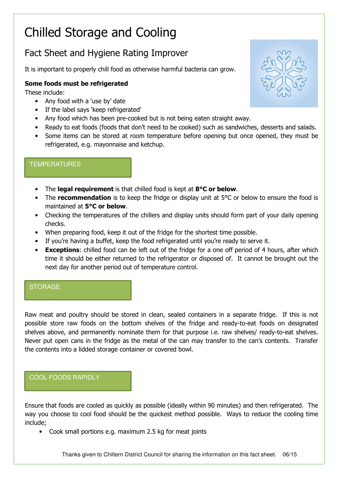# Chilled Storage and Cooling

# Fact Sheet and Hygiene Rating Improver

It is important to properly chill food as otherwise harmful bacteria can grow.

## Some foods must be refrigerated

These include:

- Any food with a 'use by' date
- If the label says 'keep refrigerated'
- Any food which has been pre-cooked but is not being eaten straight away.
- Ready to eat foods (foods that don't need to be cooked) such as sandwiches, desserts and salads.
- Some items can be stored at room temperature before opening but once opened, they must be refrigerated, e.g. mayonnaise and ketchup.

#### **TEMPERATURES**

- The legal requirement is that chilled food is kept at 8°C or below.
- The **recommendation** is to keep the fridge or display unit at  $5^{\circ}$ C or below to ensure the food is maintained at 5°C or below.
- Checking the temperatures of the chillers and display units should form part of your daily opening checks.
- When preparing food, keep it out of the fridge for the shortest time possible.
- If you're having a buffet, keep the food refrigerated until you're ready to serve it.
- **Exceptions:** chilled food can be left out of the fridge for a one off period of 4 hours, after which time it should be either returned to the refrigerator or disposed of. It cannot be brought out the next day for another period out of temperature control.

### **STORAGE**

Raw meat and poultry should be stored in clean, sealed containers in a separate fridge. If this is not possible store raw foods on the bottom shelves of the fridge and ready-to-eat foods on designated shelves above, and permanently nominate them for that purpose i.e. raw shelves/ ready-to-eat shelves. Never put open cans in the fridge as the metal of the can may transfer to the can's contents. Transfer the contents into a lidded storage container or covered bowl.

## COOL FOODS RAPIDLY

Ensure that foods are cooled as quickly as possible (ideally within 90 minutes) and then refrigerated. The way you choose to cool food should be the quickest method possible. Ways to reduce the cooling time include;

• Cook small portions e.g. maximum 2.5 kg for meat joints

Thanks given to Chiltern District Council for sharing the information on this fact sheet. 06/15